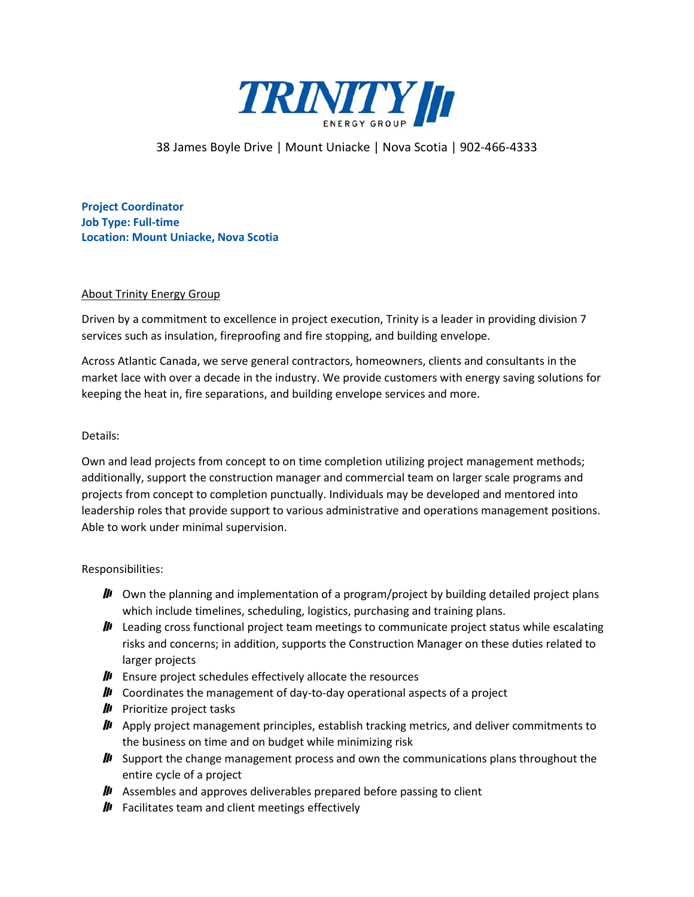

## 38 James Boyle Drive | Mount Uniacke | Nova Scotia | 902-466-4333

**Project Coordinator Job Type: Full-time Location: Mount Uniacke, Nova Scotia**

## About Trinity Energy Group

Driven by a commitment to excellence in project execution, Trinity is a leader in providing division 7 services such as insulation, fireproofing and fire stopping, and building envelope.

Across Atlantic Canada, we serve general contractors, homeowners, clients and consultants in the market lace with over a decade in the industry. We provide customers with energy saving solutions for keeping the heat in, fire separations, and building envelope services and more.

## Details:

Own and lead projects from concept to on time completion utilizing project management methods; additionally, support the construction manager and commercial team on larger scale programs and projects from concept to completion punctually. Individuals may be developed and mentored into leadership roles that provide support to various administrative and operations management positions. Able to work under minimal supervision.

## Responsibilities:

- $\mu$  Own the planning and implementation of a program/project by building detailed project plans which include timelines, scheduling, logistics, purchasing and training plans.
- $\mu$  Leading cross functional project team meetings to communicate project status while escalating risks and concerns; in addition, supports the Construction Manager on these duties related to larger projects
- $\mu$  Ensure project schedules effectively allocate the resources
- $\mathbf{I}$  Coordinates the management of day-to-day operational aspects of a project
- $\mathbf{P}$  Prioritize project tasks
- $\mu$  Apply project management principles, establish tracking metrics, and deliver commitments to the business on time and on budget while minimizing risk
- $\mu$  Support the change management process and own the communications plans throughout the entire cycle of a project
- $\mu$  Assembles and approves deliverables prepared before passing to client
- $\mathbf{H}$  Facilitates team and client meetings effectively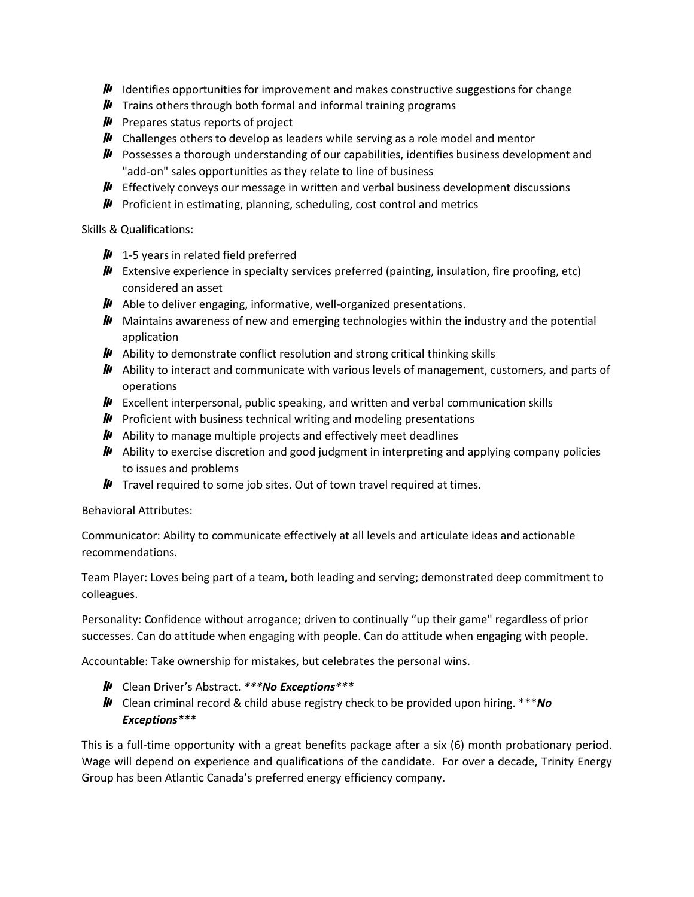- $\mu$  Identifies opportunities for improvement and makes constructive suggestions for change
- $\mu$  Trains others through both formal and informal training programs
- $\mu$  Prepares status reports of project
- $\mu$  Challenges others to develop as leaders while serving as a role model and mentor
- **II** Possesses a thorough understanding of our capabilities, identifies business development and "add-on" sales opportunities as they relate to line of business
- **III** Effectively conveys our message in written and verbal business development discussions
- $\mu$  Proficient in estimating, planning, scheduling, cost control and metrics

Skills & Qualifications:

- $\mu$  1-5 years in related field preferred
- **III** Extensive experience in specialty services preferred (painting, insulation, fire proofing, etc) considered an asset
- $\mu$  Able to deliver engaging, informative, well-organized presentations.
- $\mu$  Maintains awareness of new and emerging technologies within the industry and the potential application
- $\mu$  Ability to demonstrate conflict resolution and strong critical thinking skills
- $\mu$  Ability to interact and communicate with various levels of management, customers, and parts of operations
- **III** Excellent interpersonal, public speaking, and written and verbal communication skills
- $\mu$  Proficient with business technical writing and modeling presentations
- $\mu$  Ability to manage multiple projects and effectively meet deadlines
- $\mu$  Ability to exercise discretion and good judgment in interpreting and applying company policies to issues and problems
- $\mathbf{I}$  Travel required to some job sites. Out of town travel required at times.

Behavioral Attributes:

Communicator: Ability to communicate effectively at all levels and articulate ideas and actionable recommendations.

Team Player: Loves being part of a team, both leading and serving; demonstrated deep commitment to colleagues.

Personality: Confidence without arrogance; driven to continually "up their game" regardless of prior successes. Can do attitude when engaging with people. Can do attitude when engaging with people.

Accountable: Take ownership for mistakes, but celebrates the personal wins.

- Clean Driver's Abstract. *\*\*\*No Exceptions\*\*\**
- Clean criminal record & child abuse registry check to be provided upon hiring. \*\*\**No Exceptions\*\*\**

This is a full-time opportunity with a great benefits package after a six (6) month probationary period. Wage will depend on experience and qualifications of the candidate. For over a decade, Trinity Energy Group has been Atlantic Canada's preferred energy efficiency company.